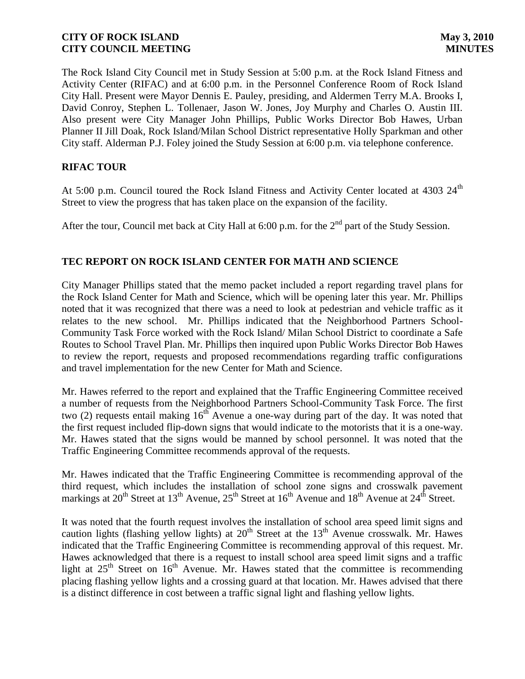The Rock Island City Council met in Study Session at 5:00 p.m. at the Rock Island Fitness and Activity Center (RIFAC) and at 6:00 p.m. in the Personnel Conference Room of Rock Island City Hall. Present were Mayor Dennis E. Pauley, presiding, and Aldermen Terry M.A. Brooks I, David Conroy, Stephen L. Tollenaer, Jason W. Jones, Joy Murphy and Charles O. Austin III. Also present were City Manager John Phillips, Public Works Director Bob Hawes, Urban Planner II Jill Doak, Rock Island/Milan School District representative Holly Sparkman and other City staff. Alderman P.J. Foley joined the Study Session at 6:00 p.m. via telephone conference.

# **RIFAC TOUR**

At 5:00 p.m. Council toured the Rock Island Fitness and Activity Center located at 4303 24<sup>th</sup> Street to view the progress that has taken place on the expansion of the facility.

After the tour, Council met back at City Hall at  $6:00$  p.m. for the  $2<sup>nd</sup>$  part of the Study Session.

# **TEC REPORT ON ROCK ISLAND CENTER FOR MATH AND SCIENCE**

City Manager Phillips stated that the memo packet included a report regarding travel plans for the Rock Island Center for Math and Science, which will be opening later this year. Mr. Phillips noted that it was recognized that there was a need to look at pedestrian and vehicle traffic as it relates to the new school. Mr. Phillips indicated that the Neighborhood Partners School-Community Task Force worked with the Rock Island/ Milan School District to coordinate a Safe Routes to School Travel Plan. Mr. Phillips then inquired upon Public Works Director Bob Hawes to review the report, requests and proposed recommendations regarding traffic configurations and travel implementation for the new Center for Math and Science.

Mr. Hawes referred to the report and explained that the Traffic Engineering Committee received a number of requests from the Neighborhood Partners School-Community Task Force. The first two (2) requests entail making  $16^{th}$  Avenue a one-way during part of the day. It was noted that the first request included flip-down signs that would indicate to the motorists that it is a one-way. Mr. Hawes stated that the signs would be manned by school personnel. It was noted that the Traffic Engineering Committee recommends approval of the requests.

Mr. Hawes indicated that the Traffic Engineering Committee is recommending approval of the third request, which includes the installation of school zone signs and crosswalk pavement markings at  $20^{th}$  Street at  $13^{th}$  Avenue,  $25^{th}$  Street at  $16^{th}$  Avenue and  $18^{th}$  Avenue at  $24^{th}$  Street.

It was noted that the fourth request involves the installation of school area speed limit signs and caution lights (flashing yellow lights) at  $20<sup>th</sup>$  Street at the  $13<sup>th</sup>$  Avenue crosswalk. Mr. Hawes indicated that the Traffic Engineering Committee is recommending approval of this request. Mr. Hawes acknowledged that there is a request to install school area speed limit signs and a traffic light at  $25<sup>th</sup>$  Street on  $16<sup>th</sup>$  Avenue. Mr. Hawes stated that the committee is recommending placing flashing yellow lights and a crossing guard at that location. Mr. Hawes advised that there is a distinct difference in cost between a traffic signal light and flashing yellow lights.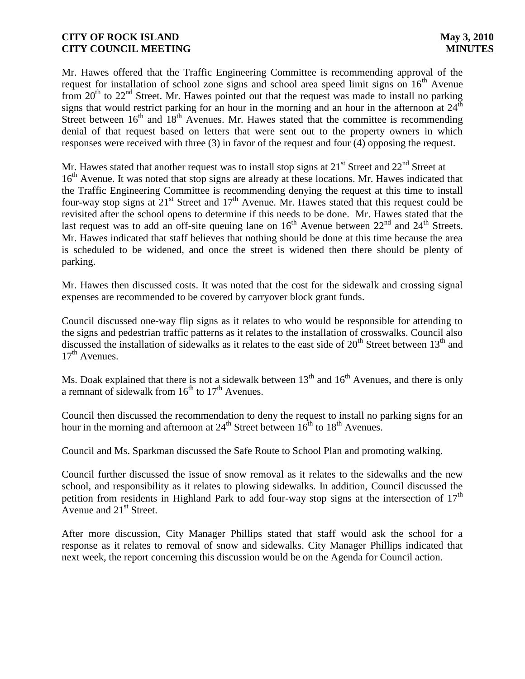Mr. Hawes offered that the Traffic Engineering Committee is recommending approval of the request for installation of school zone signs and school area speed limit signs on  $16<sup>th</sup>$  Avenue from  $20<sup>th</sup>$  to  $22<sup>nd</sup>$  Street. Mr. Hawes pointed out that the request was made to install no parking signs that would restrict parking for an hour in the morning and an hour in the afternoon at  $24<sup>th</sup>$ Street between  $16<sup>th</sup>$  and  $18<sup>th</sup>$  Avenues. Mr. Hawes stated that the committee is recommending denial of that request based on letters that were sent out to the property owners in which responses were received with three (3) in favor of the request and four (4) opposing the request.

Mr. Hawes stated that another request was to install stop signs at  $21<sup>st</sup>$  Street and  $22<sup>nd</sup>$  Street at 16<sup>th</sup> Avenue. It was noted that stop signs are already at these locations. Mr. Hawes indicated that the Traffic Engineering Committee is recommending denying the request at this time to install four-way stop signs at  $21^{st}$  Street and  $17^{th}$  Avenue. Mr. Hawes stated that this request could be revisited after the school opens to determine if this needs to be done. Mr. Hawes stated that the last request was to add an off-site queuing lane on  $16<sup>th</sup>$  Avenue between  $22<sup>nd</sup>$  and  $24<sup>th</sup>$  Streets. Mr. Hawes indicated that staff believes that nothing should be done at this time because the area is scheduled to be widened, and once the street is widened then there should be plenty of parking.

Mr. Hawes then discussed costs. It was noted that the cost for the sidewalk and crossing signal expenses are recommended to be covered by carryover block grant funds.

Council discussed one-way flip signs as it relates to who would be responsible for attending to the signs and pedestrian traffic patterns as it relates to the installation of crosswalks. Council also discussed the installation of sidewalks as it relates to the east side of  $20<sup>th</sup>$  Street between  $13<sup>th</sup>$  and  $17<sup>th</sup>$  Avenues.

Ms. Doak explained that there is not a sidewalk between  $13<sup>th</sup>$  and  $16<sup>th</sup>$  Avenues, and there is only a remnant of sidewalk from  $16<sup>th</sup>$  to  $17<sup>th</sup>$  Avenues.

Council then discussed the recommendation to deny the request to install no parking signs for an hour in the morning and afternoon at  $24<sup>th</sup>$  Street between  $16<sup>th</sup>$  to  $18<sup>th</sup>$  Avenues.

Council and Ms. Sparkman discussed the Safe Route to School Plan and promoting walking.

Council further discussed the issue of snow removal as it relates to the sidewalks and the new school, and responsibility as it relates to plowing sidewalks. In addition, Council discussed the petition from residents in Highland Park to add four-way stop signs at the intersection of  $17<sup>th</sup>$ Avenue and  $21<sup>st</sup>$  Street.

After more discussion, City Manager Phillips stated that staff would ask the school for a response as it relates to removal of snow and sidewalks. City Manager Phillips indicated that next week, the report concerning this discussion would be on the Agenda for Council action.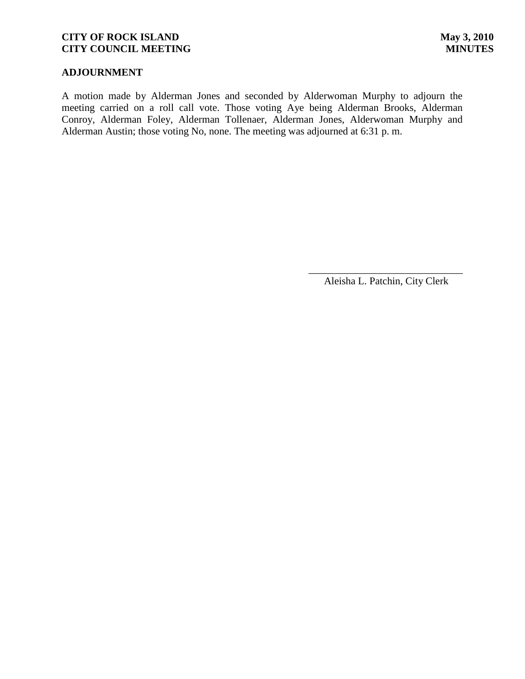# **ADJOURNMENT**

A motion made by Alderman Jones and seconded by Alderwoman Murphy to adjourn the meeting carried on a roll call vote. Those voting Aye being Alderman Brooks, Alderman Conroy, Alderman Foley, Alderman Tollenaer, Alderman Jones, Alderwoman Murphy and Alderman Austin; those voting No, none. The meeting was adjourned at 6:31 p. m.

> \_\_\_\_\_\_\_\_\_\_\_\_\_\_\_\_\_\_\_\_\_\_\_\_\_\_\_\_\_\_ Aleisha L. Patchin, City Clerk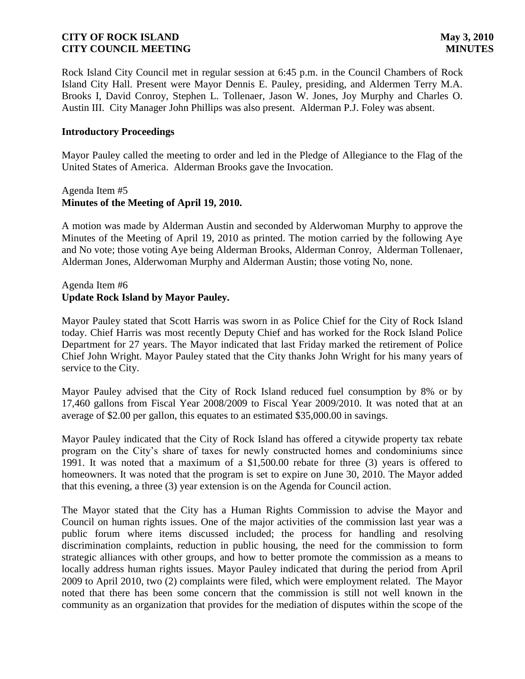Rock Island City Council met in regular session at 6:45 p.m. in the Council Chambers of Rock Island City Hall. Present were Mayor Dennis E. Pauley, presiding, and Aldermen Terry M.A. Brooks I, David Conroy, Stephen L. Tollenaer, Jason W. Jones, Joy Murphy and Charles O. Austin III. City Manager John Phillips was also present. Alderman P.J. Foley was absent.

### **Introductory Proceedings**

Mayor Pauley called the meeting to order and led in the Pledge of Allegiance to the Flag of the United States of America. Alderman Brooks gave the Invocation.

### Agenda Item #5 **Minutes of the Meeting of April 19, 2010.**

A motion was made by Alderman Austin and seconded by Alderwoman Murphy to approve the Minutes of the Meeting of April 19, 2010 as printed. The motion carried by the following Aye and No vote; those voting Aye being Alderman Brooks, Alderman Conroy, Alderman Tollenaer, Alderman Jones, Alderwoman Murphy and Alderman Austin; those voting No, none.

## Agenda Item #6 **Update Rock Island by Mayor Pauley.**

Mayor Pauley stated that Scott Harris was sworn in as Police Chief for the City of Rock Island today. Chief Harris was most recently Deputy Chief and has worked for the Rock Island Police Department for 27 years. The Mayor indicated that last Friday marked the retirement of Police Chief John Wright. Mayor Pauley stated that the City thanks John Wright for his many years of service to the City.

Mayor Pauley advised that the City of Rock Island reduced fuel consumption by 8% or by 17,460 gallons from Fiscal Year 2008/2009 to Fiscal Year 2009/2010. It was noted that at an average of \$2.00 per gallon, this equates to an estimated \$35,000.00 in savings.

Mayor Pauley indicated that the City of Rock Island has offered a citywide property tax rebate program on the City's share of taxes for newly constructed homes and condominiums since 1991. It was noted that a maximum of a \$1,500.00 rebate for three (3) years is offered to homeowners. It was noted that the program is set to expire on June 30, 2010. The Mayor added that this evening, a three (3) year extension is on the Agenda for Council action.

The Mayor stated that the City has a Human Rights Commission to advise the Mayor and Council on human rights issues. One of the major activities of the commission last year was a public forum where items discussed included; the process for handling and resolving discrimination complaints, reduction in public housing, the need for the commission to form strategic alliances with other groups, and how to better promote the commission as a means to locally address human rights issues. Mayor Pauley indicated that during the period from April 2009 to April 2010, two (2) complaints were filed, which were employment related. The Mayor noted that there has been some concern that the commission is still not well known in the community as an organization that provides for the mediation of disputes within the scope of the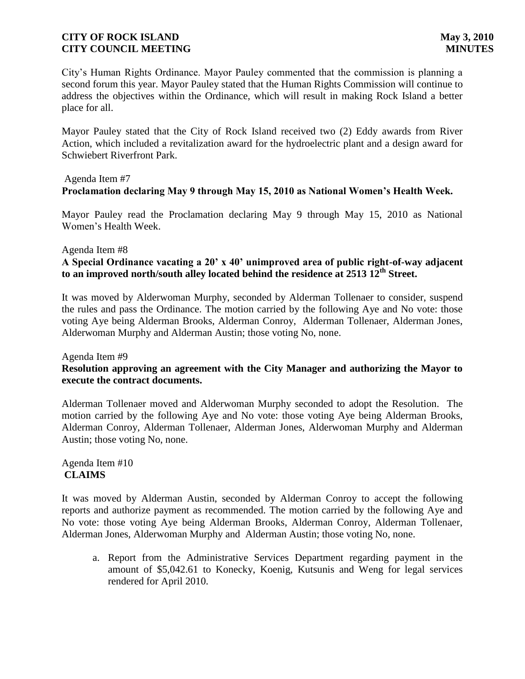City's Human Rights Ordinance. Mayor Pauley commented that the commission is planning a second forum this year. Mayor Pauley stated that the Human Rights Commission will continue to address the objectives within the Ordinance, which will result in making Rock Island a better place for all.

Mayor Pauley stated that the City of Rock Island received two (2) Eddy awards from River Action, which included a revitalization award for the hydroelectric plant and a design award for Schwiebert Riverfront Park.

### Agenda Item #7

# **Proclamation declaring May 9 through May 15, 2010 as National Women's Health Week.**

Mayor Pauley read the Proclamation declaring May 9 through May 15, 2010 as National Women's Health Week.

### Agenda Item #8

## **A Special Ordinance vacating a 20' x 40' unimproved area of public right-of-way adjacent to an improved north/south alley located behind the residence at 2513 12th Street.**

It was moved by Alderwoman Murphy, seconded by Alderman Tollenaer to consider, suspend the rules and pass the Ordinance. The motion carried by the following Aye and No vote: those voting Aye being Alderman Brooks, Alderman Conroy, Alderman Tollenaer, Alderman Jones, Alderwoman Murphy and Alderman Austin; those voting No, none.

### Agenda Item #9

## **Resolution approving an agreement with the City Manager and authorizing the Mayor to execute the contract documents.**

Alderman Tollenaer moved and Alderwoman Murphy seconded to adopt the Resolution. The motion carried by the following Aye and No vote: those voting Aye being Alderman Brooks, Alderman Conroy, Alderman Tollenaer, Alderman Jones, Alderwoman Murphy and Alderman Austin; those voting No, none.

## Agenda Item #10 **CLAIMS**

It was moved by Alderman Austin, seconded by Alderman Conroy to accept the following reports and authorize payment as recommended. The motion carried by the following Aye and No vote: those voting Aye being Alderman Brooks, Alderman Conroy, Alderman Tollenaer, Alderman Jones, Alderwoman Murphy and Alderman Austin; those voting No, none.

a. Report from the Administrative Services Department regarding payment in the amount of \$5,042.61 to Konecky, Koenig, Kutsunis and Weng for legal services rendered for April 2010.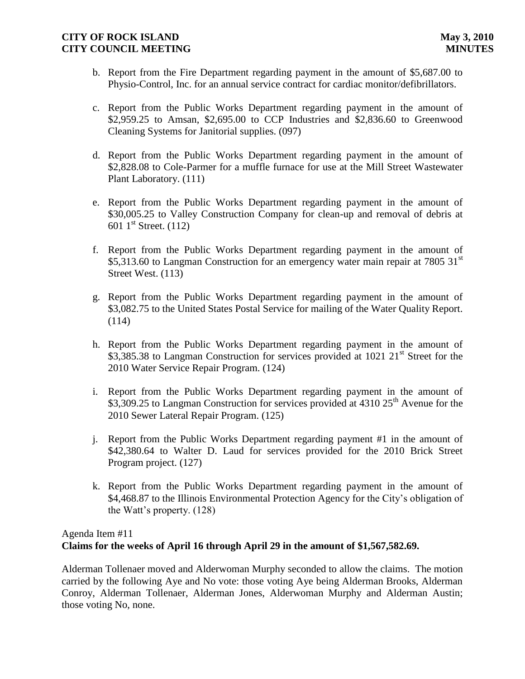- b. Report from the Fire Department regarding payment in the amount of \$5,687.00 to Physio-Control, Inc. for an annual service contract for cardiac monitor/defibrillators.
- c. Report from the Public Works Department regarding payment in the amount of \$2,959.25 to Amsan, \$2,695.00 to CCP Industries and \$2,836.60 to Greenwood Cleaning Systems for Janitorial supplies. (097)
- d. Report from the Public Works Department regarding payment in the amount of \$2,828.08 to Cole-Parmer for a muffle furnace for use at the Mill Street Wastewater Plant Laboratory. (111)
- e. Report from the Public Works Department regarding payment in the amount of \$30,005.25 to Valley Construction Company for clean-up and removal of debris at 601  $1^{\text{st}}$  Street. (112)
- f. Report from the Public Works Department regarding payment in the amount of \$5,313.60 to Langman Construction for an emergency water main repair at 7805 31 $^{\rm st}$ Street West. (113)
- g. Report from the Public Works Department regarding payment in the amount of \$3,082.75 to the United States Postal Service for mailing of the Water Quality Report. (114)
- h. Report from the Public Works Department regarding payment in the amount of \$3,385.38 to Langman Construction for services provided at  $1021 \ 21<sup>st</sup>$  Street for the 2010 Water Service Repair Program. (124)
- i. Report from the Public Works Department regarding payment in the amount of \$3,309.25 to Langman Construction for services provided at 4310 25<sup>th</sup> Avenue for the 2010 Sewer Lateral Repair Program. (125)
- j. Report from the Public Works Department regarding payment #1 in the amount of \$42,380.64 to Walter D. Laud for services provided for the 2010 Brick Street Program project. (127)
- k. Report from the Public Works Department regarding payment in the amount of \$4,468.87 to the Illinois Environmental Protection Agency for the City's obligation of the Watt's property. (128)

# Agenda Item #11 **Claims for the weeks of April 16 through April 29 in the amount of \$1,567,582.69.**

Alderman Tollenaer moved and Alderwoman Murphy seconded to allow the claims. The motion carried by the following Aye and No vote: those voting Aye being Alderman Brooks, Alderman Conroy, Alderman Tollenaer, Alderman Jones, Alderwoman Murphy and Alderman Austin; those voting No, none.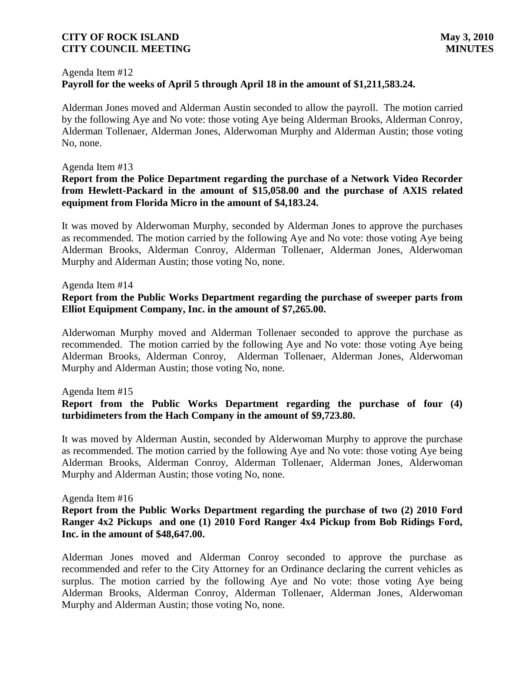#### Agenda Item #12

## **Payroll for the weeks of April 5 through April 18 in the amount of \$1,211,583.24.**

Alderman Jones moved and Alderman Austin seconded to allow the payroll. The motion carried by the following Aye and No vote: those voting Aye being Alderman Brooks, Alderman Conroy, Alderman Tollenaer, Alderman Jones, Alderwoman Murphy and Alderman Austin; those voting No, none.

### Agenda Item #13

### **Report from the Police Department regarding the purchase of a Network Video Recorder from Hewlett-Packard in the amount of \$15,058.00 and the purchase of AXIS related equipment from Florida Micro in the amount of \$4,183.24.**

It was moved by Alderwoman Murphy, seconded by Alderman Jones to approve the purchases as recommended. The motion carried by the following Aye and No vote: those voting Aye being Alderman Brooks, Alderman Conroy, Alderman Tollenaer, Alderman Jones, Alderwoman Murphy and Alderman Austin; those voting No, none.

### Agenda Item #14

### **Report from the Public Works Department regarding the purchase of sweeper parts from Elliot Equipment Company, Inc. in the amount of \$7,265.00.**

Alderwoman Murphy moved and Alderman Tollenaer seconded to approve the purchase as recommended. The motion carried by the following Aye and No vote: those voting Aye being Alderman Brooks, Alderman Conroy, Alderman Tollenaer, Alderman Jones, Alderwoman Murphy and Alderman Austin; those voting No, none.

### Agenda Item #15

## **Report from the Public Works Department regarding the purchase of four (4) turbidimeters from the Hach Company in the amount of \$9,723.80.**

It was moved by Alderman Austin, seconded by Alderwoman Murphy to approve the purchase as recommended. The motion carried by the following Aye and No vote: those voting Aye being Alderman Brooks, Alderman Conroy, Alderman Tollenaer, Alderman Jones, Alderwoman Murphy and Alderman Austin; those voting No, none.

### Agenda Item #16

## **Report from the Public Works Department regarding the purchase of two (2) 2010 Ford Ranger 4x2 Pickups and one (1) 2010 Ford Ranger 4x4 Pickup from Bob Ridings Ford, Inc. in the amount of \$48,647.00.**

Alderman Jones moved and Alderman Conroy seconded to approve the purchase as recommended and refer to the City Attorney for an Ordinance declaring the current vehicles as surplus. The motion carried by the following Aye and No vote: those voting Aye being Alderman Brooks, Alderman Conroy, Alderman Tollenaer, Alderman Jones, Alderwoman Murphy and Alderman Austin; those voting No, none.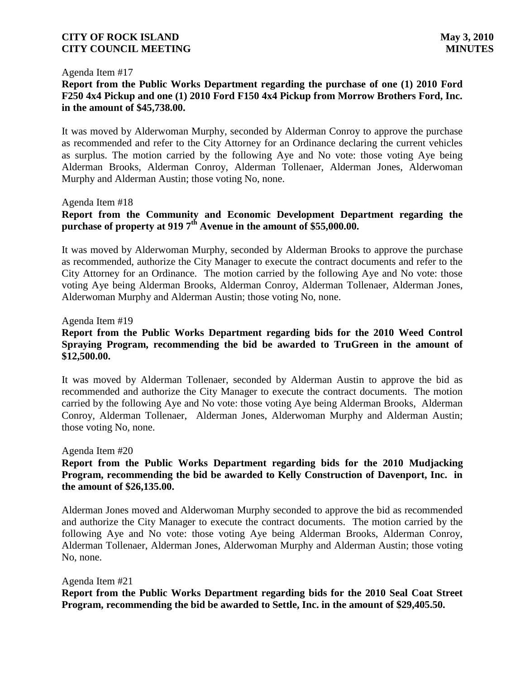#### Agenda Item #17

## **Report from the Public Works Department regarding the purchase of one (1) 2010 Ford F250 4x4 Pickup and one (1) 2010 Ford F150 4x4 Pickup from Morrow Brothers Ford, Inc. in the amount of \$45,738.00.**

It was moved by Alderwoman Murphy, seconded by Alderman Conroy to approve the purchase as recommended and refer to the City Attorney for an Ordinance declaring the current vehicles as surplus. The motion carried by the following Aye and No vote: those voting Aye being Alderman Brooks, Alderman Conroy, Alderman Tollenaer, Alderman Jones, Alderwoman Murphy and Alderman Austin; those voting No, none.

Agenda Item #18

# **Report from the Community and Economic Development Department regarding the purchase of property at 919 7th Avenue in the amount of \$55,000.00.**

It was moved by Alderwoman Murphy, seconded by Alderman Brooks to approve the purchase as recommended, authorize the City Manager to execute the contract documents and refer to the City Attorney for an Ordinance. The motion carried by the following Aye and No vote: those voting Aye being Alderman Brooks, Alderman Conroy, Alderman Tollenaer, Alderman Jones, Alderwoman Murphy and Alderman Austin; those voting No, none.

### Agenda Item #19

## **Report from the Public Works Department regarding bids for the 2010 Weed Control Spraying Program, recommending the bid be awarded to TruGreen in the amount of \$12,500.00.**

It was moved by Alderman Tollenaer, seconded by Alderman Austin to approve the bid as recommended and authorize the City Manager to execute the contract documents. The motion carried by the following Aye and No vote: those voting Aye being Alderman Brooks, Alderman Conroy, Alderman Tollenaer, Alderman Jones, Alderwoman Murphy and Alderman Austin; those voting No, none.

#### Agenda Item #20

## **Report from the Public Works Department regarding bids for the 2010 Mudjacking Program, recommending the bid be awarded to Kelly Construction of Davenport, Inc. in the amount of \$26,135.00.**

Alderman Jones moved and Alderwoman Murphy seconded to approve the bid as recommended and authorize the City Manager to execute the contract documents. The motion carried by the following Aye and No vote: those voting Aye being Alderman Brooks, Alderman Conroy, Alderman Tollenaer, Alderman Jones, Alderwoman Murphy and Alderman Austin; those voting No, none.

### Agenda Item #21

**Report from the Public Works Department regarding bids for the 2010 Seal Coat Street Program, recommending the bid be awarded to Settle, Inc. in the amount of \$29,405.50.**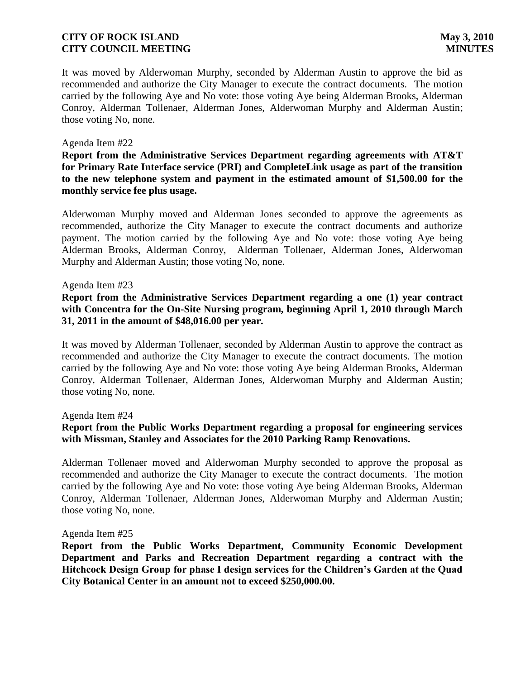It was moved by Alderwoman Murphy, seconded by Alderman Austin to approve the bid as recommended and authorize the City Manager to execute the contract documents. The motion carried by the following Aye and No vote: those voting Aye being Alderman Brooks, Alderman Conroy, Alderman Tollenaer, Alderman Jones, Alderwoman Murphy and Alderman Austin; those voting No, none.

### Agenda Item #22

**Report from the Administrative Services Department regarding agreements with AT&T for Primary Rate Interface service (PRI) and CompleteLink usage as part of the transition to the new telephone system and payment in the estimated amount of \$1,500.00 for the monthly service fee plus usage.** 

Alderwoman Murphy moved and Alderman Jones seconded to approve the agreements as recommended, authorize the City Manager to execute the contract documents and authorize payment. The motion carried by the following Aye and No vote: those voting Aye being Alderman Brooks, Alderman Conroy, Alderman Tollenaer, Alderman Jones, Alderwoman Murphy and Alderman Austin; those voting No, none.

### Agenda Item #23

**Report from the Administrative Services Department regarding a one (1) year contract with Concentra for the On-Site Nursing program, beginning April 1, 2010 through March 31, 2011 in the amount of \$48,016.00 per year.**

It was moved by Alderman Tollenaer, seconded by Alderman Austin to approve the contract as recommended and authorize the City Manager to execute the contract documents. The motion carried by the following Aye and No vote: those voting Aye being Alderman Brooks, Alderman Conroy, Alderman Tollenaer, Alderman Jones, Alderwoman Murphy and Alderman Austin; those voting No, none.

### Agenda Item #24

## **Report from the Public Works Department regarding a proposal for engineering services with Missman, Stanley and Associates for the 2010 Parking Ramp Renovations.**

Alderman Tollenaer moved and Alderwoman Murphy seconded to approve the proposal as recommended and authorize the City Manager to execute the contract documents. The motion carried by the following Aye and No vote: those voting Aye being Alderman Brooks, Alderman Conroy, Alderman Tollenaer, Alderman Jones, Alderwoman Murphy and Alderman Austin; those voting No, none.

### Agenda Item #25

**Report from the Public Works Department, Community Economic Development Department and Parks and Recreation Department regarding a contract with the Hitchcock Design Group for phase I design services for the Children's Garden at the Quad City Botanical Center in an amount not to exceed \$250,000.00.**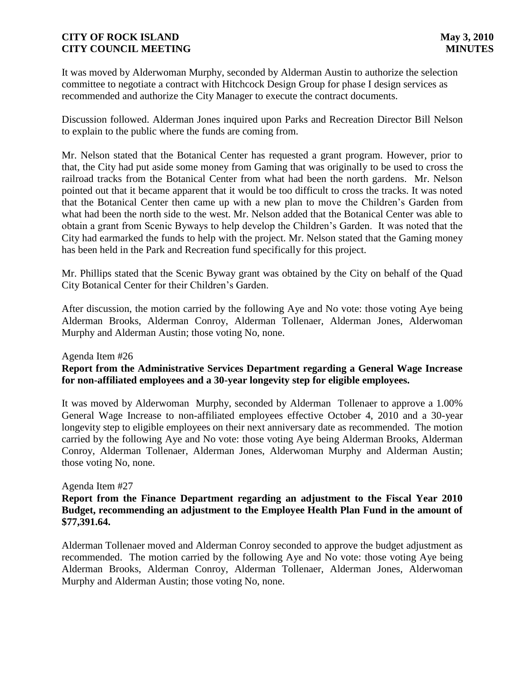It was moved by Alderwoman Murphy, seconded by Alderman Austin to authorize the selection committee to negotiate a contract with Hitchcock Design Group for phase I design services as recommended and authorize the City Manager to execute the contract documents.

Discussion followed. Alderman Jones inquired upon Parks and Recreation Director Bill Nelson to explain to the public where the funds are coming from.

Mr. Nelson stated that the Botanical Center has requested a grant program. However, prior to that, the City had put aside some money from Gaming that was originally to be used to cross the railroad tracks from the Botanical Center from what had been the north gardens. Mr. Nelson pointed out that it became apparent that it would be too difficult to cross the tracks. It was noted that the Botanical Center then came up with a new plan to move the Children's Garden from what had been the north side to the west. Mr. Nelson added that the Botanical Center was able to obtain a grant from Scenic Byways to help develop the Children's Garden. It was noted that the City had earmarked the funds to help with the project. Mr. Nelson stated that the Gaming money has been held in the Park and Recreation fund specifically for this project.

Mr. Phillips stated that the Scenic Byway grant was obtained by the City on behalf of the Quad City Botanical Center for their Children's Garden.

After discussion, the motion carried by the following Aye and No vote: those voting Aye being Alderman Brooks, Alderman Conroy, Alderman Tollenaer, Alderman Jones, Alderwoman Murphy and Alderman Austin; those voting No, none.

Agenda Item #26

## **Report from the Administrative Services Department regarding a General Wage Increase for non-affiliated employees and a 30-year longevity step for eligible employees.**

It was moved by Alderwoman Murphy, seconded by Alderman Tollenaer to approve a 1.00% General Wage Increase to non-affiliated employees effective October 4, 2010 and a 30-year longevity step to eligible employees on their next anniversary date as recommended. The motion carried by the following Aye and No vote: those voting Aye being Alderman Brooks, Alderman Conroy, Alderman Tollenaer, Alderman Jones, Alderwoman Murphy and Alderman Austin; those voting No, none.

### Agenda Item #27

## **Report from the Finance Department regarding an adjustment to the Fiscal Year 2010 Budget, recommending an adjustment to the Employee Health Plan Fund in the amount of \$77,391.64.**

Alderman Tollenaer moved and Alderman Conroy seconded to approve the budget adjustment as recommended. The motion carried by the following Aye and No vote: those voting Aye being Alderman Brooks, Alderman Conroy, Alderman Tollenaer, Alderman Jones, Alderwoman Murphy and Alderman Austin; those voting No, none.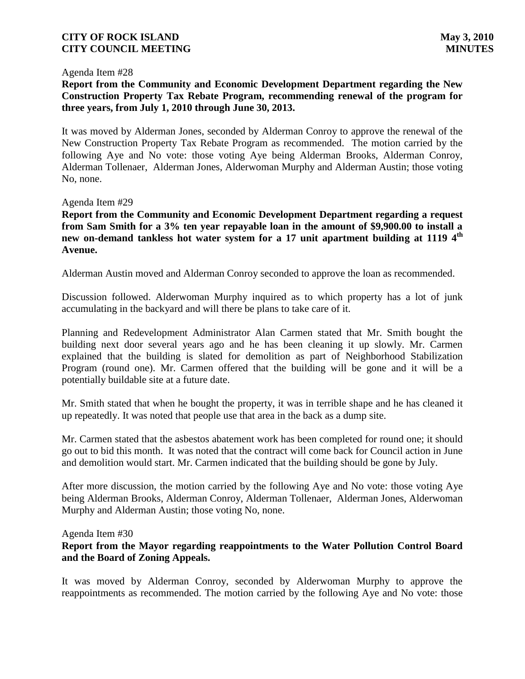### Agenda Item #28

## **Report from the Community and Economic Development Department regarding the New Construction Property Tax Rebate Program, recommending renewal of the program for three years, from July 1, 2010 through June 30, 2013.**

It was moved by Alderman Jones, seconded by Alderman Conroy to approve the renewal of the New Construction Property Tax Rebate Program as recommended. The motion carried by the following Aye and No vote: those voting Aye being Alderman Brooks, Alderman Conroy, Alderman Tollenaer, Alderman Jones, Alderwoman Murphy and Alderman Austin; those voting No, none.

### Agenda Item #29

**Report from the Community and Economic Development Department regarding a request from Sam Smith for a 3% ten year repayable loan in the amount of \$9,900.00 to install a new on-demand tankless hot water system for a 17 unit apartment building at 1119 4th Avenue.** 

Alderman Austin moved and Alderman Conroy seconded to approve the loan as recommended.

Discussion followed. Alderwoman Murphy inquired as to which property has a lot of junk accumulating in the backyard and will there be plans to take care of it.

Planning and Redevelopment Administrator Alan Carmen stated that Mr. Smith bought the building next door several years ago and he has been cleaning it up slowly. Mr. Carmen explained that the building is slated for demolition as part of Neighborhood Stabilization Program (round one). Mr. Carmen offered that the building will be gone and it will be a potentially buildable site at a future date.

Mr. Smith stated that when he bought the property, it was in terrible shape and he has cleaned it up repeatedly. It was noted that people use that area in the back as a dump site.

Mr. Carmen stated that the asbestos abatement work has been completed for round one; it should go out to bid this month. It was noted that the contract will come back for Council action in June and demolition would start. Mr. Carmen indicated that the building should be gone by July.

After more discussion, the motion carried by the following Aye and No vote: those voting Aye being Alderman Brooks, Alderman Conroy, Alderman Tollenaer, Alderman Jones, Alderwoman Murphy and Alderman Austin; those voting No, none.

### Agenda Item #30

### **Report from the Mayor regarding reappointments to the Water Pollution Control Board and the Board of Zoning Appeals.**

It was moved by Alderman Conroy, seconded by Alderwoman Murphy to approve the reappointments as recommended. The motion carried by the following Aye and No vote: those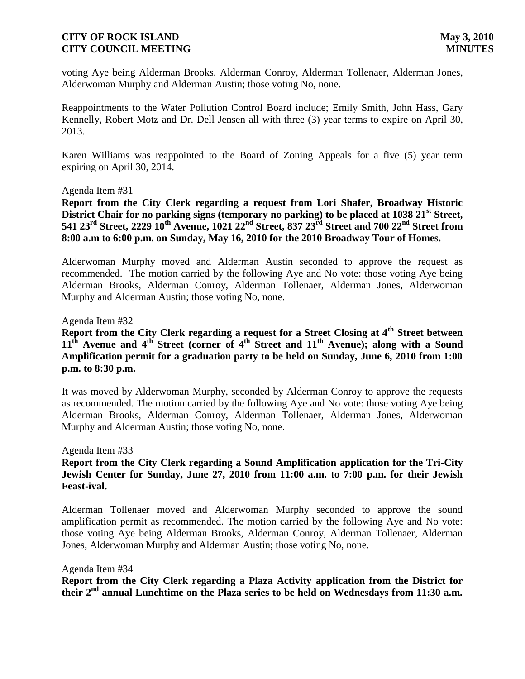voting Aye being Alderman Brooks, Alderman Conroy, Alderman Tollenaer, Alderman Jones, Alderwoman Murphy and Alderman Austin; those voting No, none.

Reappointments to the Water Pollution Control Board include; Emily Smith, John Hass, Gary Kennelly, Robert Motz and Dr. Dell Jensen all with three (3) year terms to expire on April 30, 2013.

Karen Williams was reappointed to the Board of Zoning Appeals for a five (5) year term expiring on April 30, 2014.

### Agenda Item #31

**Report from the City Clerk regarding a request from Lori Shafer, Broadway Historic District Chair for no parking signs (temporary no parking) to be placed at 1038 21st Street, 541 23rd Street, 2229 10th Avenue, 1021 22nd Street, 837 23rd Street and 700 22nd Street from 8:00 a.m to 6:00 p.m. on Sunday, May 16, 2010 for the 2010 Broadway Tour of Homes.**

Alderwoman Murphy moved and Alderman Austin seconded to approve the request as recommended. The motion carried by the following Aye and No vote: those voting Aye being Alderman Brooks, Alderman Conroy, Alderman Tollenaer, Alderman Jones, Alderwoman Murphy and Alderman Austin; those voting No, none.

### Agenda Item #32

**Report from the City Clerk regarding a request for a Street Closing at 4th Street between 11th Avenue and 4th Street (corner of 4th Street and 11th Avenue); along with a Sound Amplification permit for a graduation party to be held on Sunday, June 6, 2010 from 1:00 p.m. to 8:30 p.m.** 

It was moved by Alderwoman Murphy, seconded by Alderman Conroy to approve the requests as recommended. The motion carried by the following Aye and No vote: those voting Aye being Alderman Brooks, Alderman Conroy, Alderman Tollenaer, Alderman Jones, Alderwoman Murphy and Alderman Austin; those voting No, none.

Agenda Item #33

## **Report from the City Clerk regarding a Sound Amplification application for the Tri-City Jewish Center for Sunday, June 27, 2010 from 11:00 a.m. to 7:00 p.m. for their Jewish Feast-ival.**

Alderman Tollenaer moved and Alderwoman Murphy seconded to approve the sound amplification permit as recommended. The motion carried by the following Aye and No vote: those voting Aye being Alderman Brooks, Alderman Conroy, Alderman Tollenaer, Alderman Jones, Alderwoman Murphy and Alderman Austin; those voting No, none.

### Agenda Item #34

**Report from the City Clerk regarding a Plaza Activity application from the District for their 2nd annual Lunchtime on the Plaza series to be held on Wednesdays from 11:30 a.m.**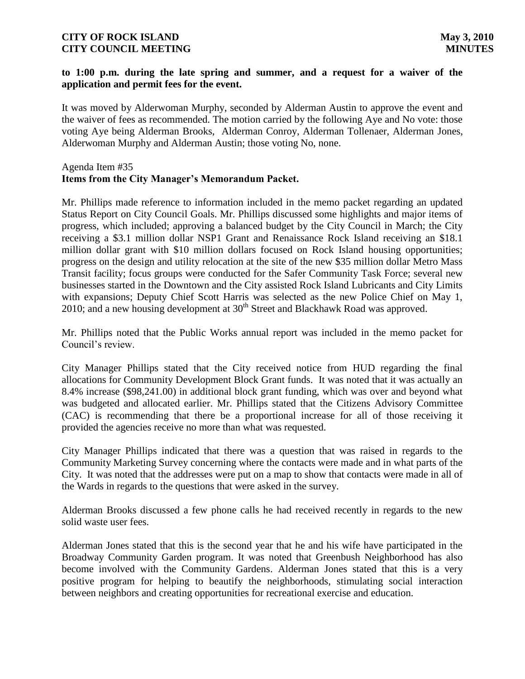## **to 1:00 p.m. during the late spring and summer, and a request for a waiver of the application and permit fees for the event.**

It was moved by Alderwoman Murphy, seconded by Alderman Austin to approve the event and the waiver of fees as recommended. The motion carried by the following Aye and No vote: those voting Aye being Alderman Brooks, Alderman Conroy, Alderman Tollenaer, Alderman Jones, Alderwoman Murphy and Alderman Austin; those voting No, none.

### Agenda Item #35 **Items from the City Manager's Memorandum Packet.**

Mr. Phillips made reference to information included in the memo packet regarding an updated Status Report on City Council Goals. Mr. Phillips discussed some highlights and major items of progress, which included; approving a balanced budget by the City Council in March; the City receiving a \$3.1 million dollar NSP1 Grant and Renaissance Rock Island receiving an \$18.1 million dollar grant with \$10 million dollars focused on Rock Island housing opportunities; progress on the design and utility relocation at the site of the new \$35 million dollar Metro Mass Transit facility; focus groups were conducted for the Safer Community Task Force; several new businesses started in the Downtown and the City assisted Rock Island Lubricants and City Limits with expansions; Deputy Chief Scott Harris was selected as the new Police Chief on May 1, 2010; and a new housing development at  $30<sup>th</sup>$  Street and Blackhawk Road was approved.

Mr. Phillips noted that the Public Works annual report was included in the memo packet for Council's review.

City Manager Phillips stated that the City received notice from HUD regarding the final allocations for Community Development Block Grant funds. It was noted that it was actually an 8.4% increase (\$98,241.00) in additional block grant funding, which was over and beyond what was budgeted and allocated earlier. Mr. Phillips stated that the Citizens Advisory Committee (CAC) is recommending that there be a proportional increase for all of those receiving it provided the agencies receive no more than what was requested.

City Manager Phillips indicated that there was a question that was raised in regards to the Community Marketing Survey concerning where the contacts were made and in what parts of the City. It was noted that the addresses were put on a map to show that contacts were made in all of the Wards in regards to the questions that were asked in the survey.

Alderman Brooks discussed a few phone calls he had received recently in regards to the new solid waste user fees.

Alderman Jones stated that this is the second year that he and his wife have participated in the Broadway Community Garden program. It was noted that Greenbush Neighborhood has also become involved with the Community Gardens. Alderman Jones stated that this is a very positive program for helping to beautify the neighborhoods, stimulating social interaction between neighbors and creating opportunities for recreational exercise and education.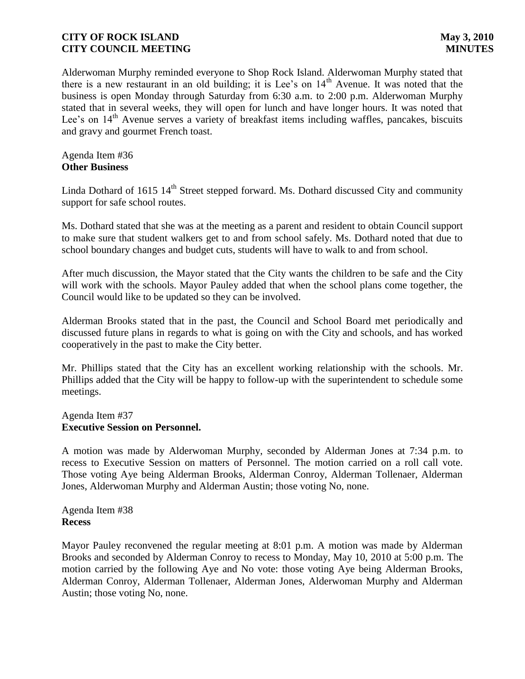Alderwoman Murphy reminded everyone to Shop Rock Island. Alderwoman Murphy stated that there is a new restaurant in an old building; it is Lee's on  $14<sup>th</sup>$  Avenue. It was noted that the business is open Monday through Saturday from 6:30 a.m. to 2:00 p.m. Alderwoman Murphy stated that in several weeks, they will open for lunch and have longer hours. It was noted that Lee's on 14<sup>th</sup> Avenue serves a variety of breakfast items including waffles, pancakes, biscuits and gravy and gourmet French toast.

### Agenda Item #36 **Other Business**

Linda Dothard of 1615 14<sup>th</sup> Street stepped forward. Ms. Dothard discussed City and community support for safe school routes.

Ms. Dothard stated that she was at the meeting as a parent and resident to obtain Council support to make sure that student walkers get to and from school safely. Ms. Dothard noted that due to school boundary changes and budget cuts, students will have to walk to and from school.

After much discussion, the Mayor stated that the City wants the children to be safe and the City will work with the schools. Mayor Pauley added that when the school plans come together, the Council would like to be updated so they can be involved.

Alderman Brooks stated that in the past, the Council and School Board met periodically and discussed future plans in regards to what is going on with the City and schools, and has worked cooperatively in the past to make the City better.

Mr. Phillips stated that the City has an excellent working relationship with the schools. Mr. Phillips added that the City will be happy to follow-up with the superintendent to schedule some meetings.

### Agenda Item #37 **Executive Session on Personnel.**

A motion was made by Alderwoman Murphy, seconded by Alderman Jones at 7:34 p.m. to recess to Executive Session on matters of Personnel. The motion carried on a roll call vote. Those voting Aye being Alderman Brooks, Alderman Conroy, Alderman Tollenaer, Alderman Jones, Alderwoman Murphy and Alderman Austin; those voting No, none.

Agenda Item #38 **Recess**

Mayor Pauley reconvened the regular meeting at 8:01 p.m. A motion was made by Alderman Brooks and seconded by Alderman Conroy to recess to Monday, May 10, 2010 at 5:00 p.m. The motion carried by the following Aye and No vote: those voting Aye being Alderman Brooks, Alderman Conroy, Alderman Tollenaer, Alderman Jones, Alderwoman Murphy and Alderman Austin; those voting No, none.